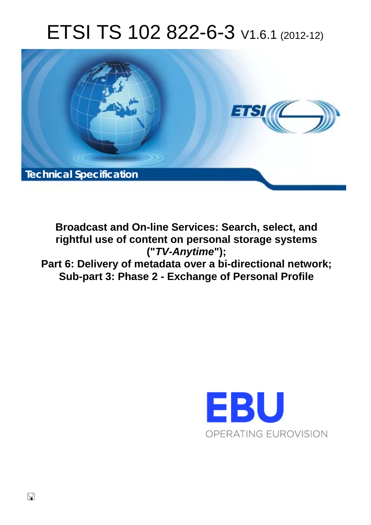# ETSI TS 102 822-6-3 V1.6.1 (2012-12)



**Broadcast and On-line Services: Search, select, and rightful use of content on personal storage systems ("***TV-Anytime***"); Part 6: Delivery of metadata over a bi-directional network; Sub-part 3: Phase 2 - Exchange of Personal Profile** 

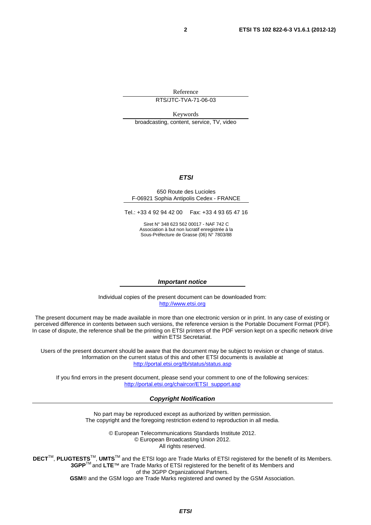Reference

RTS/JTC-TVA-71-06-03

Keywords broadcasting, content, service, TV, video

#### *ETSI*

#### 650 Route des Lucioles F-06921 Sophia Antipolis Cedex - FRANCE

Tel.: +33 4 92 94 42 00 Fax: +33 4 93 65 47 16

Siret N° 348 623 562 00017 - NAF 742 C Association à but non lucratif enregistrée à la Sous-Préfecture de Grasse (06) N° 7803/88

#### *Important notice*

Individual copies of the present document can be downloaded from: [http://www.etsi.org](http://www.etsi.org/)

The present document may be made available in more than one electronic version or in print. In any case of existing or perceived difference in contents between such versions, the reference version is the Portable Document Format (PDF). In case of dispute, the reference shall be the printing on ETSI printers of the PDF version kept on a specific network drive within ETSI Secretariat.

Users of the present document should be aware that the document may be subject to revision or change of status. Information on the current status of this and other ETSI documents is available at <http://portal.etsi.org/tb/status/status.asp>

If you find errors in the present document, please send your comment to one of the following services: [http://portal.etsi.org/chaircor/ETSI\\_support.asp](http://portal.etsi.org/chaircor/ETSI_support.asp)

#### *Copyright Notification*

No part may be reproduced except as authorized by written permission. The copyright and the foregoing restriction extend to reproduction in all media.

> © European Telecommunications Standards Institute 2012. © European Broadcasting Union 2012. All rights reserved.

**DECT**TM, **PLUGTESTS**TM, **UMTS**TM and the ETSI logo are Trade Marks of ETSI registered for the benefit of its Members. **3GPP**TM and **LTE**™ are Trade Marks of ETSI registered for the benefit of its Members and of the 3GPP Organizational Partners. **GSM**® and the GSM logo are Trade Marks registered and owned by the GSM Association.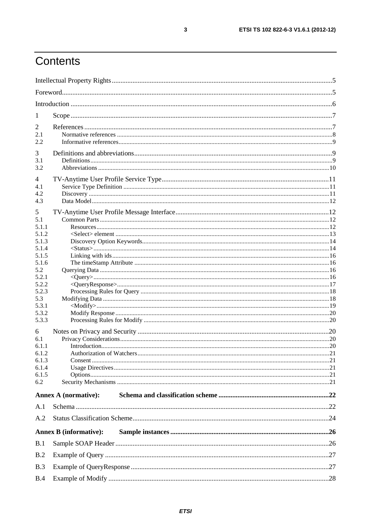# Contents

| 1              |                               |  |
|----------------|-------------------------------|--|
| 2              |                               |  |
| 2.1            |                               |  |
| 2.2            |                               |  |
|                |                               |  |
| 3              |                               |  |
| 3.1<br>3.2     |                               |  |
|                |                               |  |
| $\overline{4}$ |                               |  |
| 4.1            |                               |  |
| 4.2            |                               |  |
| 4.3            |                               |  |
| 5              |                               |  |
| 5.1            |                               |  |
| 5.1.1          |                               |  |
| 5.1.2          |                               |  |
| 5.1.3          |                               |  |
| 5.1.4          |                               |  |
| 5.1.5<br>5.1.6 |                               |  |
| 5.2            |                               |  |
| 5.2.1          |                               |  |
| 5.2.2          |                               |  |
| 5.2.3          |                               |  |
| 5.3            |                               |  |
| 5.3.1          |                               |  |
| 5.3.2          |                               |  |
| 5.3.3          |                               |  |
| 6              |                               |  |
| 6.1            |                               |  |
| 6.1.1          |                               |  |
| 6.1.2          |                               |  |
| 6.1.3          |                               |  |
| 6.1.4<br>6.1.5 |                               |  |
| 6.2            |                               |  |
|                |                               |  |
|                | <b>Annex A (normative):</b>   |  |
| A.1            |                               |  |
| A.2            |                               |  |
|                | <b>Annex B (informative):</b> |  |
| B.1            |                               |  |
| B.2            |                               |  |
| B.3            |                               |  |
| B.4            |                               |  |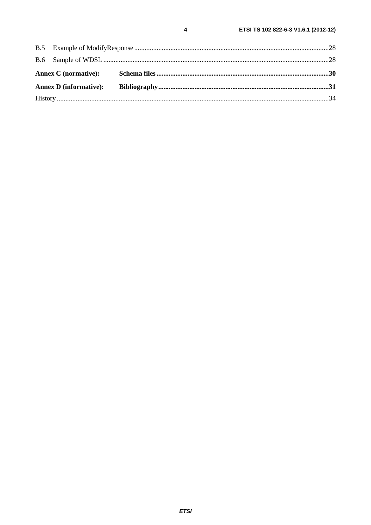$B.5$ 

**B.6** 

 $\overline{\mathbf{4}}$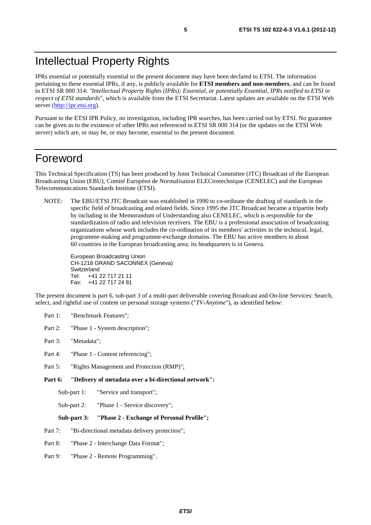### Intellectual Property Rights

IPRs essential or potentially essential to the present document may have been declared to ETSI. The information pertaining to these essential IPRs, if any, is publicly available for **ETSI members and non-members**, and can be found in ETSI SR 000 314: *"Intellectual Property Rights (IPRs); Essential, or potentially Essential, IPRs notified to ETSI in respect of ETSI standards"*, which is available from the ETSI Secretariat. Latest updates are available on the ETSI Web server ([http://ipr.etsi.org\)](http://webapp.etsi.org/IPR/home.asp).

Pursuant to the ETSI IPR Policy, no investigation, including IPR searches, has been carried out by ETSI. No guarantee can be given as to the existence of other IPRs not referenced in ETSI SR 000 314 (or the updates on the ETSI Web server) which are, or may be, or may become, essential to the present document.

### Foreword

This Technical Specification (TS) has been produced by Joint Technical Committee (JTC) Broadcast of the European Broadcasting Union (EBU), Comité Européen de Normalisation ELECtrotechnique (CENELEC) and the European Telecommunications Standards Institute (ETSI).

NOTE: The EBU/ETSI JTC Broadcast was established in 1990 to co-ordinate the drafting of standards in the specific field of broadcasting and related fields. Since 1995 the JTC Broadcast became a tripartite body by including in the Memorandum of Understanding also CENELEC, which is responsible for the standardization of radio and television receivers. The EBU is a professional association of broadcasting organizations whose work includes the co-ordination of its members' activities in the technical, legal, programme-making and programme-exchange domains. The EBU has active members in about 60 countries in the European broadcasting area; its headquarters is in Geneva.

European Broadcasting Union CH-1218 GRAND SACONNEX (Geneva) Switzerland Tel: +41 22 717 21 11 Fax: +41 22 717 24 81

The present document is part 6, sub-part 3 of a multi-part deliverable covering Broadcast and On-line Services: Search, select, and rightful use of content on personal storage systems ("*TV-Anytime*"), as identified below:

- Part 1: "Benchmark Features";
- Part 2: "Phase 1 System description";
- Part 3: "Metadata";
- Part 4: "Phase 1 Content referencing":
- Part 5: "Rights Management and Protection (RMP)";
- **Part 6: "Delivery of metadata over a bi-directional network":** 
	- Sub-part 1: "Service and transport";
	- Sub-part 2: "Phase 1 Service discovery";

#### **Sub-part 3: "Phase 2 - Exchange of Personal Profile";**

- Part 7: "Bi-directional metadata delivery protection";
- Part 8: "Phase 2 Interchange Data Format";
- Part 9: "Phase 2 Remote Programming".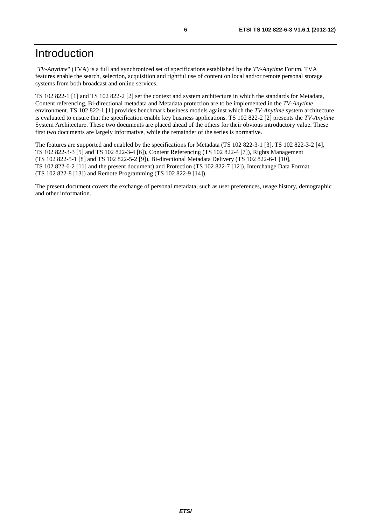# Introduction

"*TV-Anytime*" (TVA) is a full and synchronized set of specifications established by the *TV-Anytime* Forum. TVA features enable the search, selection, acquisition and rightful use of content on local and/or remote personal storage systems from both broadcast and online services.

TS 102 822-1 [1] and TS 102 822-2 [2] set the context and system architecture in which the standards for Metadata, Content referencing, Bi-directional metadata and Metadata protection are to be implemented in the *TV-Anytime* environment. TS 102 822-1 [1] provides benchmark business models against which the *TV-Anytime* system architecture is evaluated to ensure that the specification enable key business applications. TS 102 822-2 [2] presents the *TV-Anytime* System Architecture. These two documents are placed ahead of the others for their obvious introductory value. These first two documents are largely informative, while the remainder of the series is normative.

The features are supported and enabled by the specifications for Metadata (TS 102 822-3-1 [3], TS 102 822-3-2 [4], TS 102 822-3-3 [5] and TS 102 822-3-4 [6]), Content Referencing (TS 102 822-4 [7]), Rights Management (TS 102 822-5-1 [8] and TS 102 822-5-2 [9]), Bi-directional Metadata Delivery (TS 102 822-6-1 [10], TS 102 822-6-2 [11] and the present document) and Protection (TS 102 822-7 [12]), Interchange Data Format (TS 102 822-8 [13]) and Remote Programming (TS 102 822-9 [14]).

The present document covers the exchange of personal metadata, such as user preferences, usage history, demographic and other information.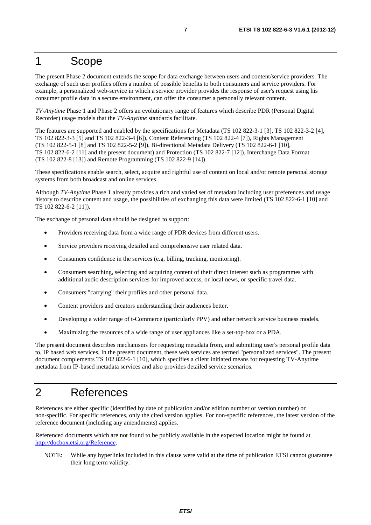### 1 Scope

The present Phase 2 document extends the scope for data exchange between users and content/service providers. The exchange of such user profiles offers a number of possible benefits to both consumers and service providers. For example, a personalized web-service in which a service provider provides the response of user's request using his consumer profile data in a secure environment, can offer the consumer a personally relevant content.

*TV-Anytime* Phase 1 and Phase 2 offers an evolutionary range of features which describe PDR (Personal Digital Recorder) usage models that the *TV-Anytime* standards facilitate.

The features are supported and enabled by the specifications for Metadata (TS 102 822-3-1 [3], TS 102 822-3-2 [4], TS 102 822-3-3 [5] and TS 102 822-3-4 [6]), Content Referencing (TS 102 822-4 [7]), Rights Management (TS 102 822-5-1 [8] and TS 102 822-5-2 [9]), Bi-directional Metadata Delivery (TS 102 822-6-1 [10], TS 102 822-6-2 [11] and the present document) and Protection (TS 102 822-7 [12]), Interchange Data Format (TS 102 822-8 [13]) and Remote Programming (TS 102 822-9 [14]).

These specifications enable search, select, acquire and rightful use of content on local and/or remote personal storage systems from both broadcast and online services.

Although *TV-Anytime* Phase 1 already provides a rich and varied set of metadata including user preferences and usage history to describe content and usage, the possibilities of exchanging this data were limited (TS 102 822-6-1 [10] and TS 102 822-6-2 [11]).

The exchange of personal data should be designed to support:

- Providers receiving data from a wide range of PDR devices from different users.
- Service providers receiving detailed and comprehensive user related data.
- Consumers confidence in the services (e.g. billing, tracking, monitoring).
- Consumers searching, selecting and acquiring content of their direct interest such as programmes with additional audio description services for improved access, or local news, or specific travel data.
- Consumers "carrying" their profiles and other personal data.
- Content providers and creators understanding their audiences better.
- Developing a wider range of t-Commerce (particularly PPV) and other network service business models.
- Maximizing the resources of a wide range of user appliances like a set-top-box or a PDA.

The present document describes mechanisms for requesting metadata from, and submitting user's personal profile data to, IP based web services. In the present document, these web services are termed "personalized services". The present document complements TS 102 822-6-1 [10], which specifies a client initiated means for requesting TV-Anytime metadata from IP-based metadata services and also provides detailed service scenarios.

### 2 References

References are either specific (identified by date of publication and/or edition number or version number) or non-specific. For specific references, only the cited version applies. For non-specific references, the latest version of the reference document (including any amendments) applies.

Referenced documents which are not found to be publicly available in the expected location might be found at [http://docbox.etsi.org/Reference.](http://docbox.etsi.org/Reference)

NOTE: While any hyperlinks included in this clause were valid at the time of publication ETSI cannot guarantee their long term validity.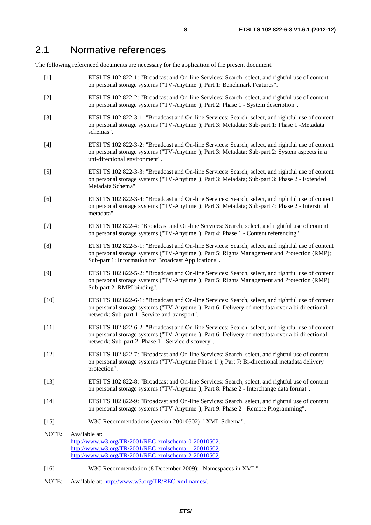#### 2.1 Normative references

The following referenced documents are necessary for the application of the present document.

- [1] ETSI TS 102 822-1: "Broadcast and On-line Services: Search, select, and rightful use of content on personal storage systems ("TV-Anytime"); Part 1: Benchmark Features".
- [2] ETSI TS 102 822-2: "Broadcast and On-line Services: Search, select, and rightful use of content on personal storage systems ("TV-Anytime"); Part 2: Phase 1 - System description".
- [3] ETSI TS 102 822-3-1: "Broadcast and On-line Services: Search, select, and rightful use of content on personal storage systems ("TV-Anytime"); Part 3: Metadata; Sub-part 1: Phase 1 -Metadata schemas".
- [4] ETSI TS 102 822-3-2: "Broadcast and On-line Services: Search, select, and rightful use of content on personal storage systems ("TV-Anytime"); Part 3: Metadata; Sub-part 2: System aspects in a uni-directional environment".
- [5] ETSI TS 102 822-3-3: "Broadcast and On-line Services: Search, select, and rightful use of content on personal storage systems ("TV-Anytime"); Part 3: Metadata; Sub-part 3: Phase 2 - Extended Metadata Schema".
- [6] ETSI TS 102 822-3-4: "Broadcast and On-line Services: Search, select, and rightful use of content on personal storage systems ("TV-Anytime"); Part 3: Metadata; Sub-part 4: Phase 2 - Interstitial metadata".
- [7] ETSI TS 102 822-4: "Broadcast and On-line Services: Search, select, and rightful use of content on personal storage systems ("TV-Anytime"); Part 4: Phase 1 - Content referencing".
- [8] ETSI TS 102 822-5-1: "Broadcast and On-line Services: Search, select, and rightful use of content on personal storage systems ("TV-Anytime"); Part 5: Rights Management and Protection (RMP); Sub-part 1: Information for Broadcast Applications".
- [9] ETSI TS 102 822-5-2: "Broadcast and On-line Services: Search, select, and rightful use of content on personal storage systems ("TV-Anytime"); Part 5: Rights Management and Protection (RMP) Sub-part 2: RMPI binding".
- [10] ETSI TS 102 822-6-1: "Broadcast and On-line Services: Search, select, and rightful use of content on personal storage systems ("TV-Anytime"); Part 6: Delivery of metadata over a bi-directional network; Sub-part 1: Service and transport".
- [11] ETSI TS 102 822-6-2: "Broadcast and On-line Services: Search, select, and rightful use of content on personal storage systems ("TV-Anytime"); Part 6: Delivery of metadata over a bi-directional network; Sub-part 2: Phase 1 - Service discovery".
- [12] ETSI TS 102 822-7: "Broadcast and On-line Services: Search, select, and rightful use of content on personal storage systems ("TV-Anytime Phase 1"); Part 7: Bi-directional metadata delivery protection".
- [13] ETSI TS 102 822-8: "Broadcast and On-line Services: Search, select, and rightful use of content on personal storage systems ("TV-Anytime"); Part 8: Phase 2 - Interchange data format".
- [14] ETSI TS 102 822-9: "Broadcast and On-line Services: Search, select, and rightful use of content on personal storage systems ("TV-Anytime"); Part 9: Phase 2 - Remote Programming".
- [15] W3C Recommendations (version 20010502): "XML Schema".
- NOTE: Available at: [http://www.w3.org/TR/2001/REC-xmlschema-0-20010502.](http://www.w3.org/TR/2001/REC-xmlschema-0-20010502)  [http://www.w3.org/TR/2001/REC-xmlschema-1-20010502.](http://www.w3.org/TR/2001/REC-xmlschema-1-20010502)  [http://www.w3.org/TR/2001/REC-xmlschema-2-20010502.](http://www.w3.org/XML/Schema)
- [16] W3C Recommendation (8 December 2009): "Namespaces in XML".
- NOTE: Available at: [http://www.w3.org/TR/REC-xml-names/.](http://www.w3.org/TR/REC-xml-names/)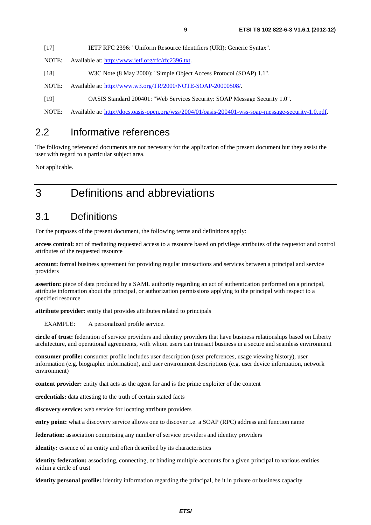| $[17]$ | IETF RFC 2396: "Uniform Resource Identifiers (URI): Generic Syntax". |  |  |
|--------|----------------------------------------------------------------------|--|--|
|        |                                                                      |  |  |

- NOTE: Available at: [http://www.ietf.org/rfc/rfc2396.txt.](http://www.ietf.org/rfc/rfc2396.txt)
- [18] W3C Note (8 May 2000): "Simple Object Access Protocol (SOAP) 1.1".
- NOTE: Available at: [http://www.w3.org/TR/2000/NOTE-SOAP-20000508/.](http://www.w3.org/TR/2000/NOTE-SOAP-20000508/)
- [19] OASIS Standard 200401: "Web Services Security: SOAP Message Security 1.0".
- NOTE: Available at: [http://docs.oasis-open.org/wss/2004/01/oasis-200401-wss-soap-message-security-1.0.pdf.](http://docs.oasis-open.org/wss/2004/01/oasis-200401-wss-soap-message-security-1.0.pdf)

### 2.2 Informative references

The following referenced documents are not necessary for the application of the present document but they assist the user with regard to a particular subject area.

Not applicable.

# 3 Definitions and abbreviations

### 3.1 Definitions

For the purposes of the present document, the following terms and definitions apply:

**access control:** act of mediating requested access to a resource based on privilege attributes of the requestor and control attributes of the requested resource

**account:** formal business agreement for providing regular transactions and services between a principal and service providers

**assertion:** piece of data produced by a SAML authority regarding an act of authentication performed on a principal, attribute information about the principal, or authorization permissions applying to the principal with respect to a specified resource

**attribute provider:** entity that provides attributes related to principals

EXAMPLE: A personalized profile service.

**circle of trust:** federation of service providers and identity providers that have business relationships based on Liberty architecture, and operational agreements, with whom users can transact business in a secure and seamless environment

**consumer profile:** consumer profile includes user description (user preferences, usage viewing history), user information (e.g. biographic information), and user environment descriptions (e.g. user device information, network environment)

**content provider:** entity that acts as the agent for and is the prime exploiter of the content

**credentials:** data attesting to the truth of certain stated facts

**discovery service:** web service for locating attribute providers

**entry point:** what a discovery service allows one to discover i.e. a SOAP (RPC) address and function name

**federation:** association comprising any number of service providers and identity providers

**identity:** essence of an entity and often described by its characteristics

**identity federation:** associating, connecting, or binding multiple accounts for a given principal to various entities within a circle of trust

**identity personal profile:** identity information regarding the principal, be it in private or business capacity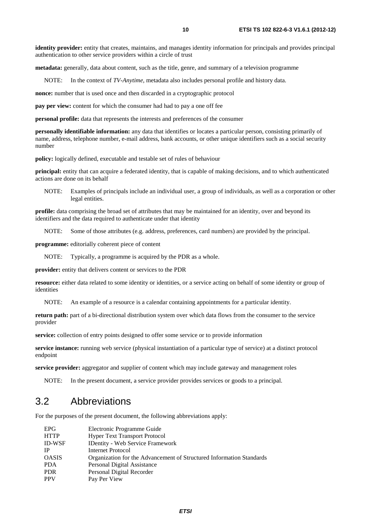**metadata:** generally, data about content, such as the title, genre, and summary of a television programme

NOTE: In the context of *TV-Anytime*, metadata also includes personal profile and history data.

**nonce:** number that is used once and then discarded in a cryptographic protocol

**pay per view:** content for which the consumer had had to pay a one off fee

**personal profile:** data that represents the interests and preferences of the consumer

**personally identifiable information:** any data that identifies or locates a particular person, consisting primarily of name, address, telephone number, e-mail address, bank accounts, or other unique identifiers such as a social security number

**policy:** logically defined, executable and testable set of rules of behaviour

**principal:** entity that can acquire a federated identity, that is capable of making decisions, and to which authenticated actions are done on its behalf

NOTE: Examples of principals include an individual user, a group of individuals, as well as a corporation or other legal entities.

**profile:** data comprising the broad set of attributes that may be maintained for an identity, over and beyond its identifiers and the data required to authenticate under that identity

NOTE: Some of those attributes (e.g. address, preferences, card numbers) are provided by the principal.

**programme:** editorially coherent piece of content

NOTE: Typically, a programme is acquired by the PDR as a whole.

**provider:** entity that delivers content or services to the PDR

**resource:** either data related to some identity or identities, or a service acting on behalf of some identity or group of identities

NOTE: An example of a resource is a calendar containing appointments for a particular identity.

**return path:** part of a bi-directional distribution system over which data flows from the consumer to the service provider

**service:** collection of entry points designed to offer some service or to provide information

**service instance:** running web service (physical instantiation of a particular type of service) at a distinct protocol endpoint

**service provider:** aggregator and supplier of content which may include gateway and management roles

NOTE: In the present document, a service provider provides services or goods to a principal.

### 3.2 Abbreviations

For the purposes of the present document, the following abbreviations apply:

| <b>EPG</b>    | Electronic Programme Guide                                           |
|---------------|----------------------------------------------------------------------|
| <b>HTTP</b>   | <b>Hyper Text Transport Protocol</b>                                 |
| <b>ID-WSF</b> | <b>IDentity - Web Service Framework</b>                              |
| IP            | Internet Protocol                                                    |
| <b>OASIS</b>  | Organization for the Advancement of Structured Information Standards |
| <b>PDA</b>    | Personal Digital Assistance                                          |
| <b>PDR</b>    | Personal Digital Recorder                                            |
| <b>PPV</b>    | Pay Per View                                                         |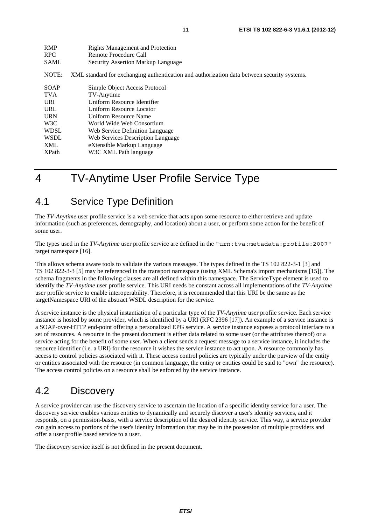| <b>RMP</b>   | <b>Rights Management and Protection</b>                                                     |
|--------------|---------------------------------------------------------------------------------------------|
| <b>RPC</b>   | Remote Procedure Call                                                                       |
| <b>SAML</b>  | Security Assertion Markup Language                                                          |
| NOTE:        | XML standard for exchanging authentication and authorization data between security systems. |
| SOAP         | Simple Object Access Protocol                                                               |
| <b>TVA</b>   | TV-Anytime                                                                                  |
| <b>URI</b>   | Uniform Resource Identifier                                                                 |
| <b>URL</b>   | Uniform Resource Locator                                                                    |
| <b>URN</b>   | Uniform Resource Name                                                                       |
| W3C          | World Wide Web Consortium                                                                   |
| <b>WDSL</b>  | Web Service Definition Language                                                             |
| <b>WSDL</b>  | Web Services Description Language                                                           |
| XML          | eXtensible Markup Language                                                                  |
| <b>XPath</b> | W3C XML Path language                                                                       |

# 4 TV-Anytime User Profile Service Type

### 4.1 Service Type Definition

The *TV-Anytime* user profile service is a web service that acts upon some resource to either retrieve and update information (such as preferences, demography, and location) about a user, or perform some action for the benefit of some user.

The types used in the *TV-Anytime* user profile service are defined in the "urn:tva:metadata:profile:2007" target namespace [16].

This allows schema aware tools to validate the various messages. The types defined in the TS 102 822-3-1 [3] and TS 102 822-3-3 [5] may be referenced in the transport namespace (using XML Schema's import mechanisms [15]). The schema fragments in the following clauses are all defined within this namespace. The ServiceType element is used to identify the *TV-Anytime* user profile service. This URI needs be constant across all implementations of the *TV-Anytime* user profile service to enable interoperability. Therefore, it is recommended that this URI be the same as the targetNamespace URI of the abstract WSDL description for the service.

A service instance is the physical instantiation of a particular type of the *TV-Anytime* user profile service. Each service instance is hosted by some provider, which is identified by a URI (RFC 2396 [17]). An example of a service instance is a SOAP-over-HTTP end-point offering a personalized EPG service. A service instance exposes a protocol interface to a set of resources. A resource in the present document is either data related to some user (or the attributes thereof) or a service acting for the benefit of some user. When a client sends a request message to a service instance, it includes the resource identifier (i.e. a URI) for the resource it wishes the service instance to act upon. A resource commonly has access to control policies associated with it. These access control policies are typically under the purview of the entity or entities associated with the resource (in common language, the entity or entities could be said to "own" the resource). The access control policies on a resource shall be enforced by the service instance.

# 4.2 Discovery

A service provider can use the discovery service to ascertain the location of a specific identity service for a user. The discovery service enables various entities to dynamically and securely discover a user's identity services, and it responds, on a permission-basis, with a service description of the desired identity service. This way, a service provider can gain access to portions of the user's identity information that may be in the possession of multiple providers and offer a user profile based service to a user.

The discovery service itself is not defined in the present document.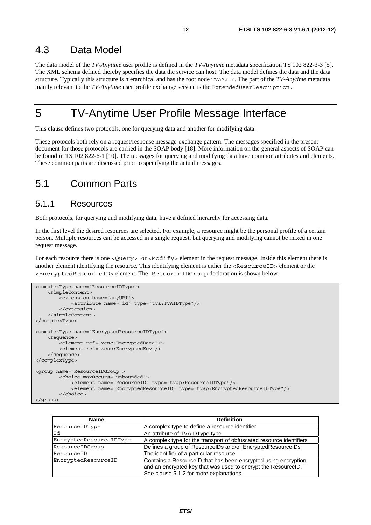### 4.3 Data Model

The data model of the *TV-Anytime* user profile is defined in the *TV-Anytime* metadata specification TS 102 822-3-3 [5]. The XML schema defined thereby specifies the data the service can host. The data model defines the data and the data structure. Typically this structure is hierarchical and has the root node TVAMain. The part of the *TV-Anytime* metadata mainly relevant to the *TV-Anytime* user profile exchange service is the ExtendedUserDescription.

# 5 TV-Anytime User Profile Message Interface

This clause defines two protocols, one for querying data and another for modifying data.

These protocols both rely on a request/response message-exchange pattern. The messages specified in the present document for those protocols are carried in the SOAP body [18]. More information on the general aspects of SOAP can be found in TS 102 822-6-1 [10]. The messages for querying and modifying data have common attributes and elements. These common parts are discussed prior to specifying the actual messages.

### 5.1 Common Parts

#### 5.1.1 Resources

Both protocols, for querying and modifying data, have a defined hierarchy for accessing data.

In the first level the desired resources are selected. For example, a resource might be the personal profile of a certain person. Multiple resources can be accessed in a single request, but querying and modifying cannot be mixed in one request message.

For each resource there is one <Query> or <Modify> element in the request message. Inside this element there is another element identifying the resource. This identifying element is either the <ResourceID> element or the <EncryptedResourceID> element. The ResourceIDGroup declaration is shown below.

```
<complexType name="ResourceIDType"> 
     <simpleContent> 
         <extension base="anyURI"> 
             <attribute name="id" type="tva:TVAIDType"/> 
         </extension> 
     </simpleContent> 
</complexType> 
<complexType name="EncryptedResourceIDType"> 
     <sequence> 
         <element ref="xenc:EncryptedData"/> 
         <element ref="xenc:EncryptedKey"/> 
     </sequence> 
</complexType> 
<group name="ResourceIDGroup"> 
         <choice maxOccurs="unbounded"> 
              <element name="ResourceID" type="tvap:ResourceIDType"/> 
              <element name="EncryptedResourceID" type="tvap:EncryptedResourceIDType"/> 
         </choice> 
</group>
```

| <b>Name</b>             | <b>Definition</b>                                                   |
|-------------------------|---------------------------------------------------------------------|
| ResourceIDType          | A complex type to define a resource identifier                      |
| Id                      | An attribute of TVAIDType type                                      |
| EncryptedResourceIDType | A complex type for the transport of obfuscated resource identifiers |
| ResourceIDGroup         | Defines a group of ResourceIDs and/or EncryptedResourceIDs          |
| ResourceID              | The identifier of a particular resource                             |
| EncryptedResourceID     | Contains a ResourceID that has been encrypted using encryption,     |
|                         | and an encrypted key that was used to encrypt the ResourceID.       |
|                         | See clause 5.1.2 for more explanations                              |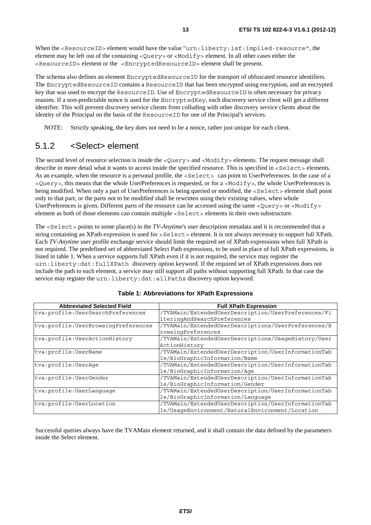When the <ResourceID> element would have the value "urn:liberty:isf:implied-resource", the element may be left out of the containing <Query> or <Modify> element. In all other cases either the <ResourceID> element or the <EncryptedResourceID> element shall be present.

The schema also defines an element EncryptedResourceID for the transport of obfuscated resource identifiers. The EncryptedResourceID contains a ResourceID that has been encrypted using encryption, and an encrypted key that was used to encrypt the ResourceID. Use of EncryptedResourceID is often necessary for privacy reasons. If a non-predictable nonce is used for the EncryptedKey, each discovery service client will get a different identifier. This will prevent discovery service clients from colluding with other discovery service clients about the identity of the Principal on the basis of the ResourceID for one of the Principal's services.

NOTE: Strictly speaking, the key does not need to be a nonce, rather just unique for each client.

#### 5.1.2 <Select> element

The second level of resource selection is inside the <Query> and <Modify> elements. The request message shall describe in more detail what it wants to access inside the specified resource. This is specified in <Select> elements. As an example, when the resource is a personal profile, the <Select> can point to UserPreferences. In the case of a <Query>, this means that the whole UserPreferences is requested, or for a <Modify>, the whole UserPreferences is being modified. When only a part of UserPreferences is being queried or modified, the <Select> element shall point only to that part, or the parts not to be modified shall be rewritten using their existing values, when whole UserPreferences is given. Different parts of the resource can be accessed using the same <Query> or <Modify> element as both of those elements can contain multiple <Select> elements in their own substructure.

The <Select> points to some place(s) in the *TV-Anytime*'s user description metadata and it is recommended that a string containing an XPath expression is used for <Select> element. It is not always necessary to support full XPath. Each *TV-Anytime* user profile exchange service should limit the required set of XPath expressions when full XPath is not required. The predefined set of abbreviated Select Path expressions, to be used in place of full XPath expressions, is listed in table 1. When a service supports full XPath even if it is not required, the service may register the urn:liberty:dst:fullXPath discovery option keyword. If the required set of XPath expressions does not include the path to each element, a service may still support all paths without supporting full XPath. In that case the service may register the urn:liberty:dst:allPaths discovery option keyword.

| <b>Abbreviated Selected Field</b>     | <b>Full XPath Expression</b>                        |
|---------------------------------------|-----------------------------------------------------|
| tva: profile: UserSearchPreferences   | /TVAMain/ExtendedUserDescription/UserPreferences/Fi |
|                                       | lteringAndSearchPreferences                         |
| tva: profile: UserBrowsingPreferences | /TVAMain/ExtendedUserDescriptions/UserPreferences/B |
|                                       | rowsingPreferences                                  |
| tva: profile: UserActionHistory       | /TVAMain/ExtendedUserDescriptions/UsaqeHistory/User |
|                                       | ActionHistory                                       |
| tva: profile: UserName                | /TVAMain/ExtendedUserDescription/UserInformationTab |
|                                       | le/BioGraphicInformation/Name                       |
| tva: profile: UserAqe                 | /TVAMain/ExtendedUserDescription/UserInformationTab |
|                                       | le/BioGraphicInformation/Age                        |
| tva: profile: UserGender              | /TVAMain/ExtendedUserDescription/UserInformationTab |
|                                       | le/BioGraphicInformation/Gender                     |
| tva: profile: UserLanquaqe            | /TVAMain/ExtendedUserDescription/UserInformationTab |
|                                       | le/BioGraphicInformation/Lanquage                   |
| tva: profile: UserLocation            | /TVAMain/ExtendedUserDescription/UserInformationTab |
|                                       | le/UsageEnvironment/NaturalEnvironment/Location     |

Successful queries always have the TVAMain element returned, and it shall contain the data defined by the parameters inside the Select element.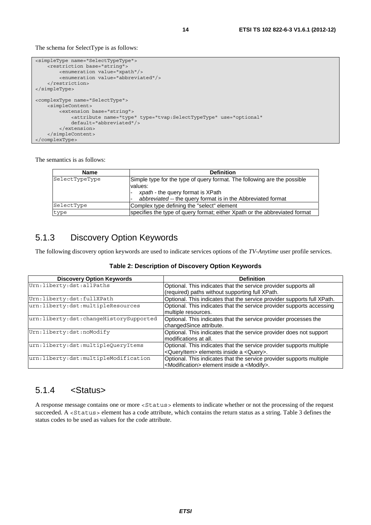The schema for SelectType is as follows:

```
<simpleType name="SelectTypeType"> 
    -<br><restriction base="string"
         <enumeration value="xpath"/> 
         <enumeration value="abbreviated"/> 
     </restriction> 
</simpleType> 
<complexType name="SelectType"> 
     <simpleContent> 
         <extension base="string"> 
             <attribute name="type" type="tvap:SelectTypeType" use="optional" 
             default="abbreviated"/> 
         </extension> 
     </simpleContent> 
</complexType>
```
The semantics is as follows:

| <b>Name</b>    | <b>Definition</b>                                                          |
|----------------|----------------------------------------------------------------------------|
| SelectTypeType | Simple type for the type of query format. The following are the possible   |
|                | values:<br>xpath - the query format is XPath                               |
|                | abbreviated -- the query format is in the Abbreviated format               |
| SelectType     | Complex type defining the "select" element                                 |
| type           | specifies the type of query format; either Xpath or the abbreviated format |

### 5.1.3 Discovery Option Keywords

The following discovery option keywords are used to indicate services options of the *TV-Anytime* user profile services.

| Table 2: Description of Discovery Option Keywords |  |  |  |
|---------------------------------------------------|--|--|--|
|---------------------------------------------------|--|--|--|

| <b>Discovery Option Keywords</b>       | <b>Definition</b>                                                       |
|----------------------------------------|-------------------------------------------------------------------------|
| Urn:liberty:dst:allPaths               | Optional. This indicates that the service provider supports all         |
|                                        | (required) paths without supporting full XPath.                         |
| Urn:liberty:dst:fullXPath              | Optional. This indicates that the service provider supports full XPath. |
| urn:liberty:dst:multipleResources      | Optional. This indicates that the service provider supports accessing   |
|                                        | multiple resources.                                                     |
| urn:liberty:dst:changeHistorySupported | Optional. This indicates that the service provider processes the        |
|                                        | changedSince attribute.                                                 |
| Urn:liberty:dst:noModify               | Optional. This indicates that the service provider does not support     |
|                                        | modifications at all.                                                   |
| urn:liberty:dst:multipleQueryItems     | Optional. This indicates that the service provider supports multiple    |
|                                        | <queryitem> elements inside a <query>.</query></queryitem>              |
| urn:liberty:dst:multipleModification   | Optional. This indicates that the service provider supports multiple    |
|                                        | <modification> element inside a <modify>.</modify></modification>       |

#### 5.1.4 <Status>

A response message contains one or more <Status> elements to indicate whether or not the processing of the request succeeded. A <Status> element has a code attribute, which contains the return status as a string. Table 3 defines the status codes to be used as values for the code attribute.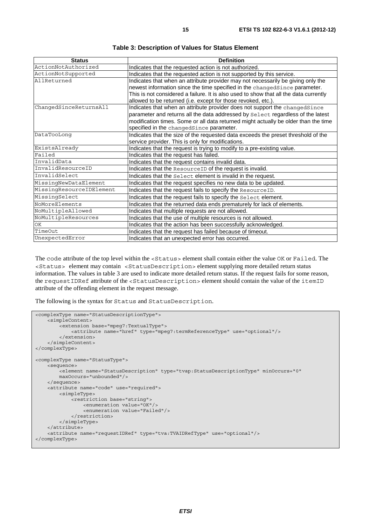| <b>Status</b>            | <b>Definition</b>                                                                                                                                                                                                                                     |
|--------------------------|-------------------------------------------------------------------------------------------------------------------------------------------------------------------------------------------------------------------------------------------------------|
| ActionNotAuthorized      | Indicates that the requested action is not authorized.                                                                                                                                                                                                |
| ActionNotSupported       | Indicates that the requested action is not supported by this service.                                                                                                                                                                                 |
| AllReturned              | Indicates that when an attribute provider may not necessarily be giving only the<br>newest information since the time specified in the changedSince parameter.                                                                                        |
|                          | This is not considered a failure. It is also used to show that all the data currently<br>allowed to be returned (i.e. except for those revoked, etc.).                                                                                                |
| ChangedSinceReturnsAll   | Indicates that when an attribute provider does not support the changedSince<br>parameter and returns all the data addressed by Select regardless of the latest<br>modification times. Some or all data returned might actually be older than the time |
|                          | specified in the changedSince parameter.                                                                                                                                                                                                              |
| DataTooLonq              | Indicates that the size of the requested data exceeds the preset threshold of the<br>service provider. This is only for modifications.                                                                                                                |
| ExistsAlready            | Indicates that the request is trying to modify to a pre-existing value.                                                                                                                                                                               |
| Failed                   | Indicates that the request has failed.                                                                                                                                                                                                                |
| InvalidData              | Indicates that the request contains invalid data.                                                                                                                                                                                                     |
| InvalidResourceID        | Indicates that the Resource ID of the request is invalid.                                                                                                                                                                                             |
| InvalidSelect            | Indicates that the Select element is invalid in the request.                                                                                                                                                                                          |
| MissingNewDataElement    | Indicates that the request specifies no new data to be updated.                                                                                                                                                                                       |
| MissingResourceIDElement | Indicates that the request fails to specify the ResourceID.                                                                                                                                                                                           |
| MissingSelect            | Indicates that the request fails to specify the Select element.                                                                                                                                                                                       |
| NoMoreElements           | Indicates that the returned data ends prematurely for lack of elements.                                                                                                                                                                               |
| NoMultipleAllowed        | Indicates that multiple requests are not allowed.                                                                                                                                                                                                     |
| NoMultipleResources      | Indicates that the use of multiple resources is not allowed.                                                                                                                                                                                          |
| ОK                       | Indicates that the action has been successfully acknowledged.                                                                                                                                                                                         |
| TimeOut                  | Indicates that the request has failed because of timeout.                                                                                                                                                                                             |
| UnexpectedError          | Indicates that an unexpected error has occurred.                                                                                                                                                                                                      |

**Table 3: Description of Values for Status Element** 

The code attribute of the top level within the <Status> element shall contain either the value OK or Failed. The <Status> element may contain <StatusDescription> element supplying more detailed return status information. The values in table 3 are used to indicate more detailed return status. If the request fails for some reason, the requestIDRef attribute of the <StatusDescription> element should contain the value of the itemID attribute of the offending element in the request message.

The following is the syntax for Status and StatusDescription.

```
<complexType name="StatusDescriptionType"> 
     <simpleContent> 
        -<br><extension base="mpeg7:TextualType">
              <attribute name="href" type="mpeg7:termReferenceType" use="optional"/> 
         </extension> 
     </simpleContent> 
</complexType> 
<complexType name="StatusType"> 
     <sequence> 
        .<br><element name="StatusDescription" type="tvap:StatusDescriptionType" minOccurs="0"
         maxOccurs="unbounded"/> 
     </sequence> 
     <attribute name="code" use="required"> 
         <simpleType> 
              <restriction base="string"> 
                  <enumeration value="OK"/> 
                  <enumeration value="Failed"/> 
             \langle/restriction>
         </simpleType> 
     </attribute> 
     <attribute name="requestIDRef" type="tva:TVAIDRefType" use="optional"/> 
</complexType>
```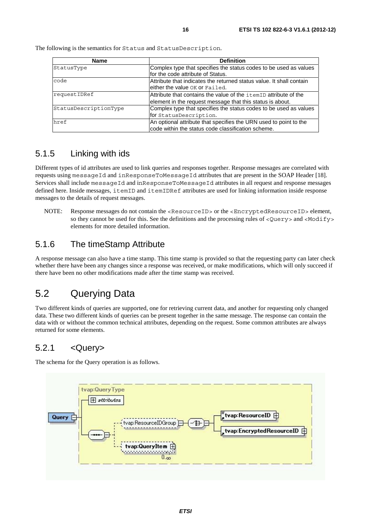| <b>Name</b>           | <b>Definition</b>                                                                                                             |
|-----------------------|-------------------------------------------------------------------------------------------------------------------------------|
| StatusType            | Complex type that specifies the status codes to be used as values<br>for the code attribute of Status.                        |
| code                  | Attribute that indicates the returned status value. It shall contain<br>either the value OK or Failed.                        |
| requestIDRef          | Attribute that contains the value of the itemID attribute of the<br>element in the request message that this status is about. |
| StatusDescriptionType | Complex type that specifies the status codes to be used as values<br>for StatusDescription.                                   |
| href                  | An optional attribute that specifies the URN used to point to the<br>code within the status code classification scheme.       |

The following is the semantics for Status and StatusDescription.

#### 5.1.5 Linking with ids

Different types of id attributes are used to link queries and responses together. Response messages are correlated with requests using messageId and inResponseToMessageId attributes that are present in the SOAP Header [18]. Services shall include messageId and inResponseToMessageId attributes in all request and response messages defined here. Inside messages, itemID and itemIDRef attributes are used for linking information inside response messages to the details of request messages.

NOTE: Response messages do not contain the <ResourceID> or the <EncryptedResourceID> element, so they cannot be used for this. See the definitions and the processing rules of <Query> and <Modify> elements for more detailed information.

#### 5.1.6 The timeStamp Attribute

A response message can also have a time stamp. This time stamp is provided so that the requesting party can later check whether there have been any changes since a response was received, or make modifications, which will only succeed if there have been no other modifications made after the time stamp was received.

### 5.2 Querying Data

Two different kinds of queries are supported, one for retrieving current data, and another for requesting only changed data. These two different kinds of queries can be present together in the same message. The response can contain the data with or without the common technical attributes, depending on the request. Some common attributes are always returned for some elements.

### 5.2.1 <Query>

The schema for the Query operation is as follows.

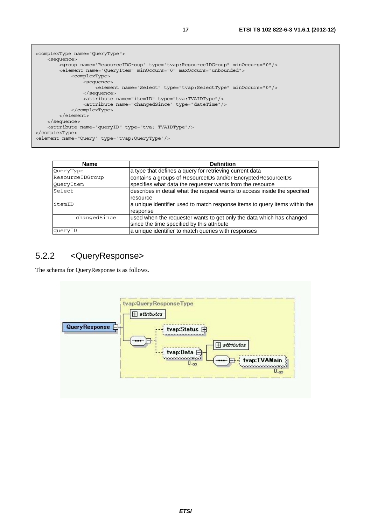```
<complexType name="QueryType"> 
     <sequence> 
         <group name="ResourceIDGroup" type="tvap:ResourceIDGroup" minOccurs="0"/> 
         <element name="QueryItem" minOccurs="0" maxOccurs="unbounded"> 
             <complexType> 
                  <sequence> 
                      <element name="Select" type="tvap:SelectType" minOccurs="0"/> 
                  </sequence> 
                  <attribute name="itemID" type="tva:TVAIDType"/> 
                  <attribute name="changedSince" type="dateTime"/> 
             </complexType> 
         </element> 
     </sequence> 
     <attribute name="queryID" type="tva: TVAIDType"/> 
</complexType> 
<element name="Query" type="tvap:QueryType"/>
```

| Name            | <b>Definition</b>                                                          |
|-----------------|----------------------------------------------------------------------------|
| QueryType       | a type that defines a query for retrieving current data                    |
| ResourceIDGroup | contains a groups of ResourceIDs and/or EncryptedResourceIDs               |
| QueryItem       | specifies what data the requester wants from the resource                  |
| Select          | describes in detail what the request wants to access inside the specified  |
|                 | resource                                                                   |
| litemID         | a unique identifier used to match response items to query items within the |
|                 | response                                                                   |
| changedSince    | used when the requester wants to get only the data which has changed       |
|                 | since the time specified by this attribute                                 |
| queryID         | a unique identifier to match queries with responses                        |

### 5.2.2 <QueryResponse>

The schema for QueryResponse is as follows.

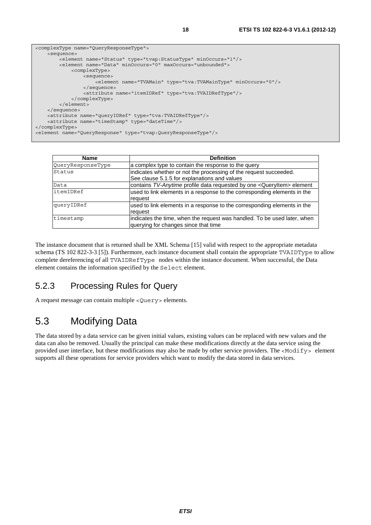```
<complexType name="QueryResponseType"> 
     <sequence> 
         <element name="Status" type="tvap:StatusType" minOccurs="1"/> 
         <element name="Data" minOccurs="0" maxOccurs="unbounded"> 
             <complexType> 
                 <sequence> 
                      <element name="TVAMain" type="tva:TVAMainType" minOccurs="0"/> 
                 </sequence> 
                 <attribute name="itemIDRef" type="tva:TVAIDRefType"/> 
             </complexType> 
         </element> 
     </sequence> 
     <attribute name="queryIDRef" type="tva:TVAIDRefType"/> 
     <attribute name="timeStamp" type="dateTime"/> 
</complexType> 
<element name="QueryResponse" type="tvap:QueryResponseType"/>
```

| Name              | <b>Definition</b>                                                                                                |
|-------------------|------------------------------------------------------------------------------------------------------------------|
| QueryResponseType | a complex type to contain the response to the query                                                              |
| Status            | indicates whether or not the processing of the request succeeded.                                                |
|                   | See clause 5.1.5 for explanations and values                                                                     |
| Data              | contains TV-Anytime profile data requested by one < QueryItem> element                                           |
| itemIDRef         | used to link elements in a response to the corresponding elements in the<br>request                              |
| queryIDRef        | used to link elements in a response to the corresponding elements in the<br>request                              |
| timestamp         | indicates the time, when the request was handled. To be used later, when<br>querying for changes since that time |

The instance document that is returned shall be XML Schema [15] valid with respect to the appropriate metadata schema (TS 102 822-3-3 [5]). Furthermore, each instance document shall contain the appropriate TVAIDType to allow complete dereferencing of all TVAIDRefType nodes within the instance document. When successful, the Data element contains the information specified by the Select element.

### 5.2.3 Processing Rules for Query

A request message can contain multiple <Query> elements.

### 5.3 Modifying Data

The data stored by a data service can be given initial values, existing values can be replaced with new values and the data can also be removed. Usually the principal can make these modifications directly at the data service using the provided user interface, but these modifications may also be made by other service providers. The <Modify> element supports all these operations for service providers which want to modify the data stored in data services.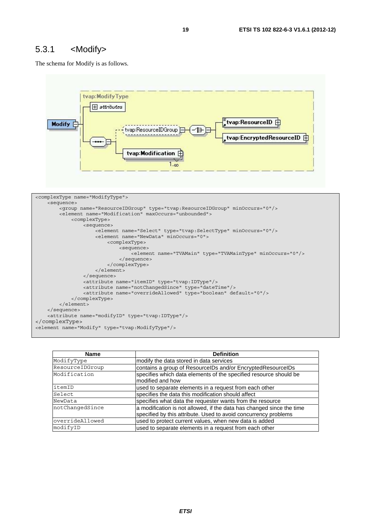#### 5.3.1 <Modify>

The schema for Modify is as follows.



| <b>Name</b>     | <b>Definition</b>                                                                                                                        |
|-----------------|------------------------------------------------------------------------------------------------------------------------------------------|
| ModifyType      | modify the data stored in data services                                                                                                  |
| ResourceIDGroup | contains a group of ResourcelDs and/or EncryptedResourceIDs                                                                              |
| Modification    | specifies which data elements of the specified resource should be<br>modified and how                                                    |
| itemID          | used to separate elements in a request from each other                                                                                   |
| Select          | specifies the data this modification should affect                                                                                       |
| NewData         | specifies what data the requester wants from the resource                                                                                |
| notChangedSince | a modification is not allowed, if the data has changed since the time<br>specified by this attribute. Used to avoid concurrency problems |
| overrideAllowed | used to protect current values, when new data is added                                                                                   |
| modifyID        | used to separate elements in a request from each other                                                                                   |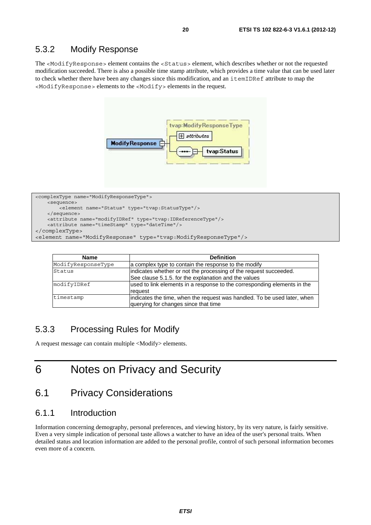The <ModifyResponse> element contains the <Status> element, which describes whether or not the requested modification succeeded. There is also a possible time stamp attribute, which provides a time value that can be used later to check whether there have been any changes since this modification, and an itemIDRef attribute to map the <ModifyResponse> elements to the <Modify> elements in the request.



```
<complexType name="ModifyResponseType"> 
    <sequence> 
         <element name="Status" type="tvap:StatusType"/> 
     </sequence> 
    <attribute name="modifyIDRef" type="tvap:IDReferenceType"/> 
    <attribute name="timeStamp" type="dateTime"/> 
</complexType> 
<element name="ModifyResponse" type="tvap:ModifyResponseType"/>
```

| <b>Name</b>        | <b>Definition</b>                                                                                                         |
|--------------------|---------------------------------------------------------------------------------------------------------------------------|
| ModifyResponseType | a complex type to contain the response to the modify                                                                      |
| Status             | indicates whether or not the processing of the request succeeded.<br>See clause 5.1.5. for the explanation and the values |
| modifyIDRef        | used to link elements in a response to the corresponding elements in the<br>request                                       |
| timestamp          | indicates the time, when the request was handled. To be used later, when<br>querying for changes since that time          |

### 5.3.3 Processing Rules for Modify

A request message can contain multiple <Modify> elements.

# 6 Notes on Privacy and Security

### 6.1 Privacy Considerations

#### 6.1.1 Introduction

Information concerning demography, personal preferences, and viewing history, by its very nature, is fairly sensitive. Even a very simple indication of personal taste allows a watcher to have an idea of the user's personal traits. When detailed status and location information are added to the personal profile, control of such personal information becomes even more of a concern.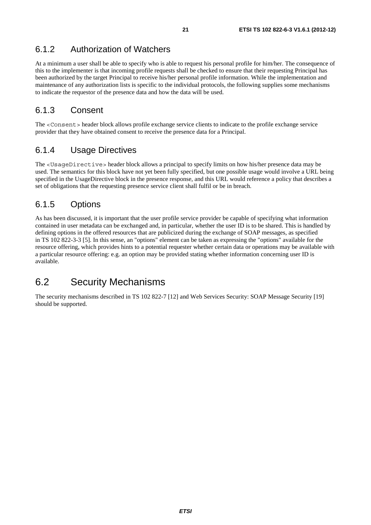### 6.1.2 Authorization of Watchers

At a minimum a user shall be able to specify who is able to request his personal profile for him/her. The consequence of this to the implementer is that incoming profile requests shall be checked to ensure that their requesting Principal has been authorized by the target Principal to receive his/her personal profile information. While the implementation and maintenance of any authorization lists is specific to the individual protocols, the following supplies some mechanisms to indicate the requestor of the presence data and how the data will be used.

#### 6.1.3 Consent

The <Consent> header block allows profile exchange service clients to indicate to the profile exchange service provider that they have obtained consent to receive the presence data for a Principal.

#### 6.1.4 Usage Directives

The <UsageDirective> header block allows a principal to specify limits on how his/her presence data may be used. The semantics for this block have not yet been fully specified, but one possible usage would involve a URL being specified in the UsageDirective block in the presence response, and this URL would reference a policy that describes a set of obligations that the requesting presence service client shall fulfil or be in breach.

#### 6.1.5 Options

As has been discussed, it is important that the user profile service provider be capable of specifying what information contained in user metadata can be exchanged and, in particular, whether the user ID is to be shared. This is handled by defining options in the offered resources that are publicized during the exchange of SOAP messages, as specified in TS 102 822-3-3 [5]. In this sense, an "options" element can be taken as expressing the "options" available for the resource offering, which provides hints to a potential requester whether certain data or operations may be available with a particular resource offering: e.g. an option may be provided stating whether information concerning user ID is available.

### 6.2 Security Mechanisms

The security mechanisms described in TS 102 822-7 [12] and Web Services Security: SOAP Message Security [19] should be supported.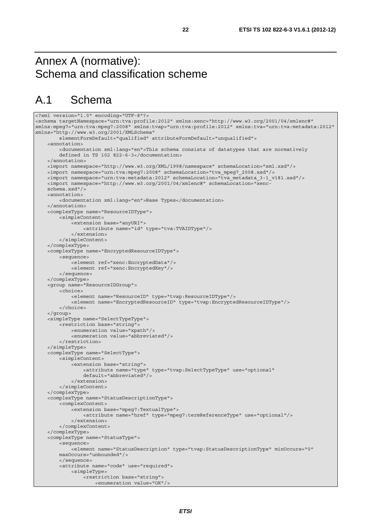# Annex A (normative): Schema and classification scheme

# A.1 Schema

```
<?xml version="1.0" encoding="UTF-8"?> 
<schema targetNamespace="urn:tva:profile:2012" xmlns:xenc="http://www.w3.org/2001/04/xmlenc#" 
xmlns:mpeg7="urn:tva:mpeg7:2008" xmlns:tvap="urn:tva:profile:2012" xmlns:tva="urn:tva:metadata:2012" 
xmlns="http://www.w3.org/2001/XMLSchema" 
         elementFormDefault="qualified" attributeFormDefault="unqualified"> 
     <annotation> 
         <documentation xml:lang="en">This schema consists of datatypes that are normatively 
         defined in TS 102 822-6-3</documentation> 
     </annotation> 
     <import namespace="http://www.w3.org/XML/1998/namespace" schemaLocation="xml.xsd"/> 
     <import namespace="urn:tva:mpeg7:2008" schemaLocation="tva_mpeg7_2008.xsd"/> 
     <import namespace="urn:tva:metadata:2012" schemaLocation="tva_metadata_3-1_v181.xsd"/> 
     <import namespace="http://www.w3.org/2001/04/xmlenc#" schemaLocation="xenc- 
     schema.xsd"/> 
     <annotation> 
         <documentation xml:lang="en">Base Types</documentation> 
     </annotation> 
     <complexType name="ResourceIDType"> 
         <simpleContent> 
             <extension base="anyURI"> 
                  <attribute name="id" type="tva:TVAIDType"/> 
             </extension> 
         </simpleContent> 
     </complexType> 
     <complexType name="EncryptedResourceIDType"> 
         <sequence> 
             <element ref="xenc:EncryptedData"/> 
             <element ref="xenc:EncryptedKey"/> 
         </sequence> 
     </complexType> 
     <group name="ResourceIDGroup"> 
         <choice> 
             <element name="ResourceID" type="tvap:ResourceIDType"/> 
             <element name="EncryptedResourceID" type="tvap:EncryptedResourceIDType"/> 
         </choice> 
     </group> 
     <simpleType name="SelectTypeType"> 
         <restriction base="string"> 
             <enumeration value="xpath"/> 
             <enumeration value="abbreviated"/> 
         </restriction> 
     </simpleType> 
     <complexType name="SelectType"> 
         <simpleContent> 
             <extension base="string"> 
                  <attribute name="type" type="tvap:SelectTypeType" use="optional" 
                  default="abbreviated"/> 
             </extension> 
         </simpleContent> 
     </complexType> 
     <complexType name="StatusDescriptionType"> 
         <complexContent> 
             <extension base="mpeg7:TextualType"> 
                  <attribute name="href" type="mpeg7:termReferenceType" use="optional"/> 
             </extension> 
         </complexContent> 
     </complexType> 
     <complexType name="StatusType"> 
         <sequence> 
             <element name="StatusDescription" type="tvap:StatusDescriptionType" minOccurs="0" 
         maxOccurs="unbounded"/> 
         </sequence> 
         <attribute name="code" use="required"> 
             <simpleType> 
                  <restriction base="string"> 
                     <enumeration value="OK"/>
```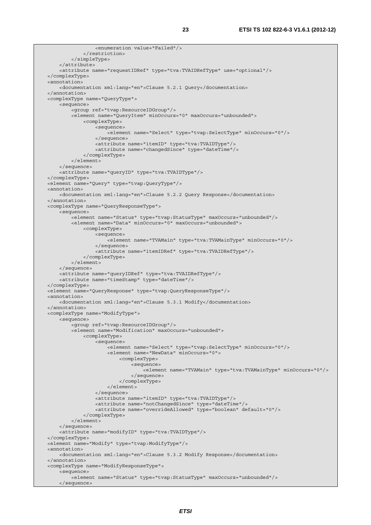```
 <enumeration value="Failed"/> 
              </restriction> 
          </simpleType> 
     </attribute> 
     <attribute name="requestIDRef" type="tva:TVAIDRefType" use="optional"/> 
 </complexType> 
 <annotation> 
     <documentation xml:lang="en">Clause 5.2.1 Query</documentation> 
 </annotation> 
 <complexType name="QueryType"> 
     <sequence> 
         <group ref="tvap:ResourceIDGroup"/> 
         <element name="QueryItem" minOccurs="0" maxOccurs="unbounded"> 
              <complexType> 
                  <sequence> 
                      <element name="Select" type="tvap:SelectType" minOccurs="0"/> 
                  </sequence> 
                  <attribute name="itemID" type="tva:TVAIDType"/> 
                  <attribute name="changedSince" type="dateTime"/> 
              </complexType> 
         </element> 
     </sequence> 
     <attribute name="queryID" type="tva:TVAIDType"/> 
 </complexType> 
 <element name="Query" type="tvap:QueryType"/> 
 <annotation> 
     <documentation xml:lang="en">Clause 5.2.2 Query Response</documentation> 
 </annotation> 
 <complexType name="QueryResponseType"> 
     <sequence> 
        -<br><element name="Status" type="tvap:StatusType" maxOccurs="unbounded"/>
         <element name="Data" minOccurs="0" maxOccurs="unbounded"> 
              <complexType> 
                  <sequence> 
                      <element name="TVAMain" type="tva:TVAMainType" minOccurs="0"/> 
                  </sequence> 
                  <attribute name="itemIDRef" type="tva:TVAIDRefType"/> 
              </complexType> 
         </element> 
     </sequence> 
     <attribute name="queryIDRef" type="tva:TVAIDRefType"/> 
     <attribute name="timeStamp" type="dateTime"/> 
 </complexType> 
 <element name="QueryResponse" type="tvap:QueryResponseType"/> 
 <annotation> 
     <documentation xml:lang="en">Clause 5.3.1 Modify</documentation> 
 </annotation> 
 <complexType name="ModifyType"> 
     <sequence> 
          <group ref="tvap:ResourceIDGroup"/> 
         <element name="Modification" maxOccurs="unbounded"> 
              <complexType> 
                  <sequence> 
                      <element name="Select" type="tvap:SelectType" minOccurs="0"/> 
                      <element name="NewData" minOccurs="0"> 
                           <complexType> 
                               <sequence> 
                                   <element name="TVAMain" type="tva:TVAMainType" minOccurs="0"/> 
                               </sequence> 
                           </complexType> 
                      </element> 
                  </sequence> 
                  <attribute name="itemID" type="tva:TVAIDType"/> 
                  <attribute name="notChangedSince" type="dateTime"/> 
                  <attribute name="overrideAllowed" type="boolean" default="0"/> 
              </complexType> 
         </element> 
     </sequence> 
     <attribute name="modifyID" type="tva:TVAIDType"/> 
 </complexType> 
 <element name="Modify" type="tvap:ModifyType"/> 
 <annotation> 
     <documentation xml:lang="en">Clause 5.3.2 Modify Response</documentation> 
 </annotation> 
 <complexType name="ModifyResponseType"> 
     <sequence> 
         <element name="Status" type="tvap:StatusType" maxOccurs="unbounded"/> 
     </sequence>
```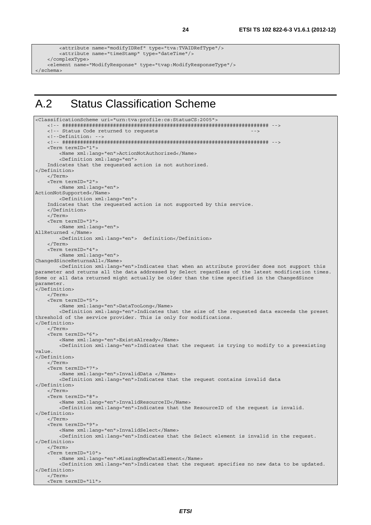```
 <attribute name="modifyIDRef" type="tva:TVAIDRefType"/> 
         <attribute name="timeStamp" type="dateTime"/> 
     </complexType> 
    <element name="ModifyResponse" type="tvap:ModifyResponseType"/> 
</schema>
```
# A.2 Status Classification Scheme

```
<ClassificationScheme uri="urn:tva:profile:cs:StatusCS:2005"> 
     <!-- ##################################################################### --> 
    <!-- Status Code returned to requests
     <!--Definition: --> 
     <!-- ##################################################################### --> 
     <Term termID="1"> 
         <Name xml:lang="en">ActionNotAuthorized</Name> 
         <Definition xml:lang="en"> 
     Indicates that the requested action is not authorized. 
</Definition> 
     </Term> 
     <Term termID="2"> 
         <Name xml:lang="en"> 
ActionNotSupported</Name> 
         <Definition xml:lang="en"> 
     Indicates that the requested action is not supported by this service. 
     </Definition> 
     </Term> 
     <Term termID="3"> 
         <Name xml:lang="en"> 
AllReturned </Name> 
         <Definition xml:lang="en"> definition</Definition> 
     </Term> 
     <Term termID="4"> 
         <Name xml:lang="en"> 
ChangedSinceReturnsAll</Name> 
         <Definition xml:lang="en">Indicates that when an attribute provider does not support this 
parameter and returns all the data addressed by Select regardless of the latest modification times. 
Some or all data returned might actually be older than the time specified in the ChangedSince 
parameter. 
.<br></Definition>
     </Term> 
     <Term termID="5"> 
         <Name xml:lang="en">DataTooLong</Name> 
         <Definition xml:lang="en">Indicates that the size of the requested data exceeds the preset 
threshold of the service provider. This is only for modifications. 
</Definition> 
     </Term> 
     <Term termID="6"> 
         <Name xml:lang="en">ExistsAlready</Name> 
         <Definition xml:lang="en">Indicates that the request is trying to modify to a preexisting 
value. 
</Definition> 
     </Term> 
    \epsilonTerm \text{term} Term\text{ID}=\text{H} <Name xml:lang="en">InvalidData </Name> 
         <Definition xml:lang="en">Indicates that the request contains invalid data 
</Definition> 
     </Term> 
     <Term termID="8"> 
         <Name xml:lang="en">InvalidResourceID</Name> 
         <Definition xml:lang="en">Indicates that the ResourceID of the request is invalid. 
</Definition> 
     </Term> 
     <Term termID="9"> 
         <Name xml:lang="en">InvalidSelect</Name> 
         <Definition xml:lang="en">Indicates that the Select element is invalid in the request. 
</Definition> 
     </Term> 
     <Term termID="10"> 
         <Name xml:lang="en">MissingNewDataElement</Name> 
         <Definition xml:lang="en">Indicates that the request specifies no new data to be updated. 
</Definition> 
     </Term> 
     <Term termID="11">
```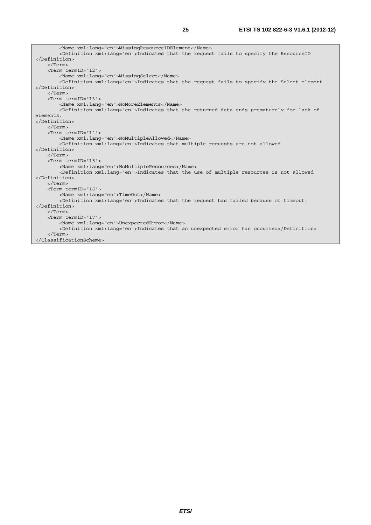| <name xml:lanq="en">MissinqResourceIDElement</name>                                                   |  |  |
|-------------------------------------------------------------------------------------------------------|--|--|
| <definition xml:lang="en">Indicates that the request fails to specify the ResourceID</definition>     |  |  |
|                                                                                                       |  |  |
| $\langle$ Term $\rangle$                                                                              |  |  |
| <term termid="12"></term>                                                                             |  |  |
| <name xml:lang="en">MissingSelect</name>                                                              |  |  |
| <definition xml:lang="en">Indicates that the request fails to specify the Select element</definition> |  |  |
|                                                                                                       |  |  |
| $\langle$ Term>                                                                                       |  |  |
| <term termid="13"></term>                                                                             |  |  |
| <name xml:lang="en">NoMoreElements</name>                                                             |  |  |
| <definition xml:lanq="en">Indicates that the returned data ends prematurely for lack of</definition>  |  |  |
| elements.                                                                                             |  |  |
|                                                                                                       |  |  |
| $\langle$ /Term>                                                                                      |  |  |
| <term termid="14"></term>                                                                             |  |  |
| <name xml:lang="en">NoMultipleAllowed</name>                                                          |  |  |
| <definition xml:lang="en">Indicates that multiple requests are not allowed</definition>               |  |  |
|                                                                                                       |  |  |
| $\langle$ Term $\rangle$                                                                              |  |  |
| <term termid="15"></term>                                                                             |  |  |
| <name xml:lang="en">NoMultipleResources</name>                                                        |  |  |
| <definition xml:lang="en">Indicates that the use of multiple resources is not allowed</definition>    |  |  |
|                                                                                                       |  |  |
| $\langle$ Term $\rangle$                                                                              |  |  |
| <term termid="16"></term>                                                                             |  |  |
| <name lang="en" xml:="">TimeOut</name>                                                                |  |  |
| <definition xml:lang="en">Indicates that the request has failed because of timeout.</definition>      |  |  |
|                                                                                                       |  |  |
| $\langle$ Term>                                                                                       |  |  |
| <term termid="17"></term>                                                                             |  |  |
| <name xml:lang="en">UnexpectedError</name>                                                            |  |  |
| <definition xml:lanq="en">Indicates that an unexpected error has occurred</definition>                |  |  |
| $\langle$ Term>                                                                                       |  |  |
|                                                                                                       |  |  |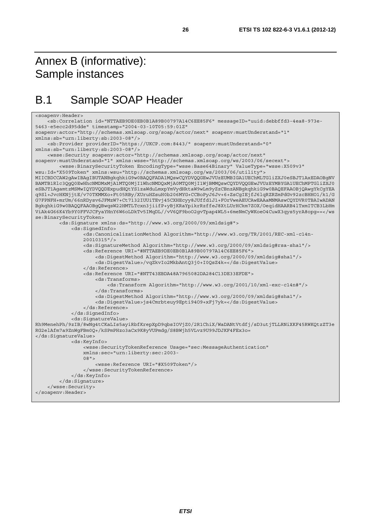# Annex B (informative): Sample instances

# B.1 Sample SOAP Header

```
<soapenv:Header> 
     <sb:Correlation id="NTTAEB9DE0EB0B1A89B00797A14C6EE85F6" messageID="uuid:debbffd3-4ea8-973e-
5463-e5ecc2d95dde" timestamp="2004-03-10T05:59:01Z" 
soapenv:actor="http://schemas.xmlsoap.org/soap/actor/next" soapenv:mustUnderstand="1" 
xmlns:sb="urn:liberty:sb:2003-08"/> 
     <sb:Provider providerID="https://UKCP.com:8443/" soapenv:mustUnderstand="0" 
xmlns:sb="urn:liberty:sb:2003-08"/> 
     <wsse:Security soapenv:actor="http://schemas.xmlsoap.org/soap/actor/next" 
soapenv:mustUnderstand="1" xmlns:wsse="http://schemas.xmlsoap.org/ws/2003/06/secext"> 
         <wsse:BinarySecurityToken EncodingType="wsse:Base64Binary" ValueType="wsse:X509v3" 
wsu:Id="X509Token" xmlns:wsu="http://schemas.xmlsoap.org/ws/2003/06/utility"> 
MIICBDCCAW2gAwIBAgIBUTANBgkqhkiG9w0BAQQFADA1MQswCQYDVQQGEwJVUzEUMBIGA1UEChMLTGliZXJ0eSBJT1AxEDAOBgNV
BAMTB1Rlc3QgQ0EwHhcNMDMxMjA1MTQ0MjI1WhcNMDQxMjA0MTQ0MjI1WjBMMQswCQYDVQQGEwJVUzEYMBYGA1UEChMPTGliZXJ0
eSBJT1AgamtzMSMwIQYDVQQDExpudHQtYS1zaWduLmxpYmVydHktaW9wLm9yZzCBnzANBgkqhkiG9w0BAQEFAAOBjQAwgYkCgYEA
q9Sl+JvcHKNjjtE/v70TKMMXo+Ft05RBy/XUruHZsuH0b206MYG+CCBoPyJ6Jv+6+ZsCgIEjfJ6lqRZRZmPdGv92zcBHHO1/k1/G
G7FPNFH+mrUm/66nRDysv6JFMzW7+Ct7132IUUiTEvj45CXHEcyy8JUffd1J1+FOrVweAEUCAwEAAaMNMAswCQYDVR0TBAIwADAN
BgkqhkiG9w0BAQQFAAOBgQBwqsW22HMTLTcxn3jiifP+yBjKRaYpikrRzffeJ8XtLUrHCkm7ZOX/OeqidHAARB4lTxmITCB3LbHm
ViAk4G66K4Yb9Y0FFVJCFyaYHnY6W6oLDkTv5IMqDL//vV6QF9boO2gvTpap4WL5+6meNmCyWKoeO4CuwX3qys5yrA8opg==</ws
se:BinarySecurityToken> 
         <ds:Signature xmlns:ds="http://www.w3.org/2000/09/xmldsig#"> 
             <ds:SignedInfo> 
                 <ds:CanonicalizationMethod Algorithm="http://www.w3.org/TR/2001/REC-xml-c14n- 
                 20010315"/> 
                 <ds:SignatureMethod Algorithm="http://www.w3.org/2000/09/xmldsig#rsa-sha1"/> 
                 <ds:Reference URI="#NTTAEB9DE0EB0B1A89B00797A14C6EE85F6"> 
                      <ds:DigestMethod Algorithm="http://www.w3.org/2000/09/xmldsig#sha1"/> 
                      <ds:DigestValue>/vqZkvIo2MkbAntQ3j0+I0QsZ4k=</ds:DigestValue> 
                 </ds:Reference> 
                 <ds:Reference URI="#NTT43EBDA48A7965082DA284C13DE33EFDE"> 
                     <ds:Transforms> 
                          <ds:Transform Algorithm="http://www.w3.org/2001/10/xml-exc-c14n#"/> 
                      </ds:Transforms> 
                      <ds:DigestMethod Algorithm="http://www.w3.org/2000/09/xmldsig#sha1"/> 
                      <ds:DigestValue>js4Cmrbteuy9Epti94O9+xFj7yk=</ds:DigestValue> 
                 </ds:Reference> 
             </ds:SignedInfo> 
             <ds:SignatureValue> 
Rh9MenehPh/9zIB/8wNg4tCKaLIs5ayiRbfKrepXpD9qbsIOVjZ0/2R1ChiX/WaDANtVtdfj/sD3utjTLLRNiXKF45RWKQtzZT3e
RG2elAfm7a9ZnWgFBm0Q+/kSPmPHzo3aCx9K8yVUPmdg/S8BWjh5VLvz9U99JDJKF4FEx3o= 
</ds:SignatureValue> 
             <ds:KeyInfo> 
                 <wsse:SecurityTokenReference Usage="sec:MessageAuthentication" 
                 xmlns:sec="urn:liberty:sec:2003- 
                 08"> 
                     <wsse:Reference URI="#X509Token"/> 
                 </wsse:SecurityTokenReference> 
             </ds:KeyInfo> 
         </ds:Signature> 
     </wsse:Security> 
</soapenv:Header>
```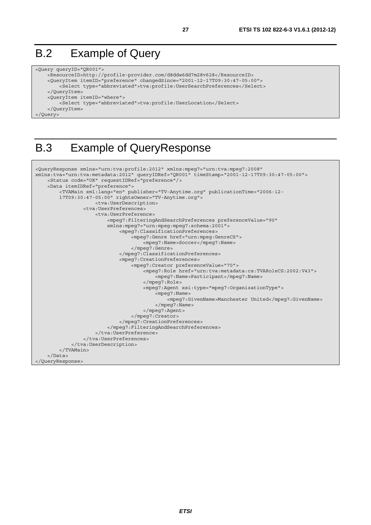# B.2 Example of Query

```
<Query queryID="QR001"> 
     <ResourceID>http://profile-provider.com/d8ddw6dd7m28v628</ResourceID> 
     <QueryItem itemID="preference" changedSince="2001-12-17T09:30:47-05:00"> 
         <Select type="abbreviated">tva:profile:UserSearchPreferences</Select> 
     </QueryItem> 
     <QueryItem itemID="where"> 
         <Select type="abbreviated">tva:profile:UserLocation</Select> 
     </QueryItem> 
</Query>
```
# B.3 Example of QueryResponse

```
<QueryResponse xmlns="urn:tva:profile:2012" xmlns:mpeg7="urn:tva:mpeg7:2008" 
xmlns:tva="urn:tva:metadata:2012" queryIDRef="QR001" timeStamp="2001-12-17T09:30:47-05:00"> 
     <Status code="OK" requestIDRef="preference"/> 
     <Data itemIDRef="preference"> 
         <TVAMain xml:lang="en" publisher="TV-Anytime.org" publicationTime="2006-12- 
         17T09:30:47-05:00" rightsOwner="TV-Anytime.org"> 
                      <tva:UserDescription> 
                  <tva:UserPreferences> 
                      <tva:UserPreference> 
                          <mpeg7:FilteringAndSearchPreferences preferenceValue="90" 
                          xmlns:mpeg7="urn:mpeg:mpeg7:schema:2001"> 
                               <mpeg7:ClassificationPreferences> 
                                   <mpeg7:Genre href="urn:mpeg:GenreCS"> 
                                       <mpeg7:Name>Soccer</mpeg7:Name> 
                                   </mpeg7:Genre> 
                               </mpeg7:ClassificationPreferences> 
                               <mpeg7:CreationPreferences> 
                                   <mpeg7:Creator preferenceValue="70"> 
                                       <mpeg7:Role href="urn:tva:metadata:cs:TVARoleCS:2002:V43"> 
                                            <mpeg7:Name>Participant</mpeg7:Name> 
                                       </mpeg7:Role> 
                                       <mpeg7:Agent xsi:type="mpeg7:OrganizationType"> 
                                            <mpeg7:Name> 
                                                <mpeg7:GivenName>Manchester United</mpeg7:GivenName> 
                                            </mpeg7:Name> 
                                       </mpeg7:Agent> 
                                   </mpeg7:Creator> 
                               </mpeg7:CreationPreferences> 
                          </mpeg7:FilteringAndSearchPreferences> 
                      </tva:UserPreference> 
                  </tva:UserPreferences> 
              </tva:UserDescription> 
         </TVAMain> 
     </Data> 
</QueryResponse>
```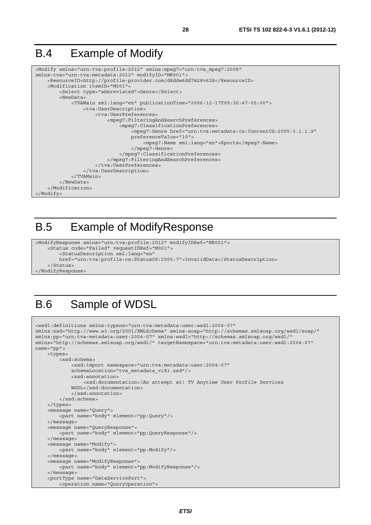# B.4 Example of Modify

```
<Modify xmlns="urn:tva:profile:2012" xmlns:mpeg7="urn:tva_mpeg7:2008" 
xmlns:tva="urn:tva:metadata:2012" modifyID="MR001"> 
     <ResourceID>http://profile-provider.com/d8ddw6dd7m28v628</ResourceID> 
     <Modification itemID="M001"> 
         <Select type="abbreviated">Genre</Select> 
         <NewData> 
             <TVAMain xml:lang="en" publicationTime="2006-12-17T09:30:47-05:00"> 
                  <tva:UserDescription> 
                      <tva:UserPreferences> 
                           <mpeg7:FilteringAndSearchPreferences> 
                               <mpeg7:ClassificationPreferences> 
                                   <mpeg7:Genre href="urn:tva:metadata:cs:ContentCS:2005:3.1.1.9" 
                                   preferenceValue="10"> 
                                        <mpeg7:Name xml:lang="en">Sports</mpeg7:Name> 
                                   </mpeg7:Genre> 
                               </mpeg7:ClassificationPreferences> 
                          </mpeg7:FilteringAndSearchPreferences> 
                      </tva:UserPreferences> 
                  </tva:UserDescription> 
              </TVAMain> 
         </NewData> 
     </Modification> 
</Modify>
```
# B.5 Example of ModifyResponse

```
<ModifyResponse xmlns="urn:tva:profile:2012" modifyIDRef="MR001"> 
     <Status code="Failed" requestIDRef="M001"> 
         <StatusDescription xml:lang="en" 
         href="urn:tva:profile:cs:StatusCS:2005:7">InvalidData</StatusDescription> 
     </Status> 
</ModifyResponse>
```
# B.6 Sample of WDSL

```
<wsdl:definitions xmlns:typens="urn:tva:metadata:user:wsdl:2004-07" 
xmlns:xsd="http://www.w3.org/2001/XMLSchema" xmlns:soap="http://schemas.xmlsoap.org/wsdl/soap/" 
xmlns:pp="urn:tva:metadata:user:2004-07" xmlns:wsdl="http://schemas.xmlsoap.org/wsdl/" 
xmlns="http://schemas.xmlsoap.org/wsdl/" targetNamespace="urn:tva:metadata:user:wsdl:2004-07" 
name="pp"> 
     <types> 
         <xsd:schema> 
              <xsd:import namespace="urn:tva:metadata:user:2004-07" 
              schemaLocation="tva_metadata_v181.xsd"/> 
             <xsd:annotation> 
                  <xsd:documentation>(An attempt at) TV Anytime User Profile Services 
             WSDL</xsd:documentation> 
              </xsd:annotation> 
         </xsd:schema> 
     </types> 
     <message name="Query"> 
         <part name="body" element="pp:Query"/> 
     </message> 
     <message name="QueryResponse"> 
         <part name="body" element="pp:QueryResponse"/> 
     </message> 
     <message name="Modify"> 
         <part name="body" element="pp:Modify"/> 
     </message> 
     <message name="ModifyResponse"> 
         <part name="body" element="pp:ModifyResponse"/> 
     </message> 
     <portType name="DataServicePort"> 
         <operation name="QueryOperation">
```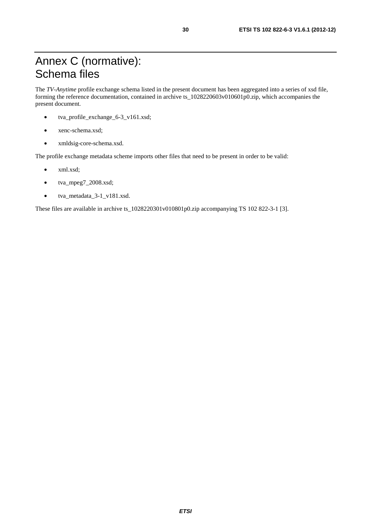The *TV-Anytime* profile exchange schema listed in the present document has been aggregated into a series of xsd file, forming the reference documentation, contained in archive ts\_1028220603v010601p0.zip, which accompanies the present document.

- tva\_profile\_exchange\_6-3\_v161.xsd;
- xenc-schema.xsd;
- xmldsig-core-schema.xsd.

The profile exchange metadata scheme imports other files that need to be present in order to be valid:

- xml.xsd;
- tva\_mpeg7\_2008.xsd;
- tva\_metadata\_3-1\_v181.xsd.

These files are available in archive ts\_1028220301v010801p0.zip accompanying TS 102 822-3-1 [3].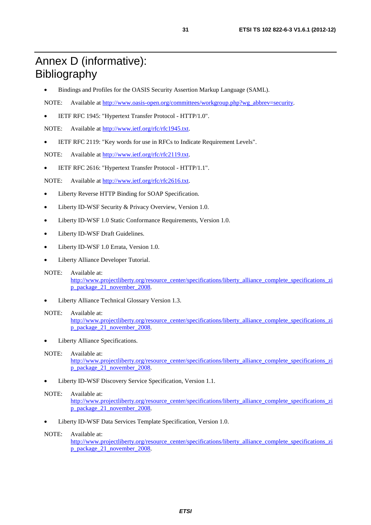# Annex D (informative): Bibliography

- Bindings and Profiles for the OASIS Security Assertion Markup Language (SAML).
- NOTE: Available at [http://www.oasis-open.org/committees/workgroup.php?wg\\_abbrev=security.](http://www.oasis-open.org/committees/workgroup.php?wg_abbrev=security)
- IETF RFC 1945: "Hypertext Transfer Protocol HTTP/1.0".

NOTE: Available at [http://www.ietf.org/rfc/rfc1945.txt.](ftp://ftp.rfc-editor.org/in-notes/rfc1945.txt)

• IETF RFC 2119: "Key words for use in RFCs to Indicate Requirement Levels".

NOTE: Available at [http://www.ietf.org/rfc/rfc2119.txt.](http://www.ietf.org/rfc/rfc2119.txt)

• IETF RFC 2616: "Hypertext Transfer Protocol - HTTP/1.1".

NOTE: Available at [http://www.ietf.org/rfc/rfc2616.txt.](http://www.ietf.org/rfc/rfc2616.txt)

- Liberty Reverse HTTP Binding for SOAP Specification.
- Liberty ID-WSF Security & Privacy Overview, Version 1.0.
- Liberty ID-WSF 1.0 Static Conformance Requirements, Version 1.0.
- Liberty ID-WSF Draft Guidelines.
- Liberty ID-WSF 1.0 Errata, Version 1.0.
- Liberty Alliance Developer Tutorial.
- NOTE: Available at: [http://www.projectliberty.org/resource\\_center/specifications/liberty\\_alliance\\_complete\\_specifications\\_zi](http://www.projectliberty.org/resource_center/specifications/liberty_alliance_complete_specifications_zip_package_21_november_2008) p\_package\_21\_november\_2008.
- Liberty Alliance Technical Glossary Version 1.3.

#### NOTE: Available at:

[http://www.projectliberty.org/resource\\_center/specifications/liberty\\_alliance\\_complete\\_specifications\\_zi](http://www.projectliberty.org/resource_center/specifications/liberty_alliance_complete_specifications_zip_package_21_november_2008) [p\\_package\\_21\\_november\\_2008.](http://www.projectliberty.org/resource_center/specifications/liberty_alliance_complete_specifications_zip_package_21_november_2008) 

Liberty Alliance Specifications.

#### NOTE: Available at:

[http://www.projectliberty.org/resource\\_center/specifications/liberty\\_alliance\\_complete\\_specifications\\_zi](http://www.projectliberty.org/resource_center/specifications/liberty_alliance_complete_specifications_zip_package_21_november_2008) [p\\_package\\_21\\_november\\_2008.](http://www.projectliberty.org/resource_center/specifications/liberty_alliance_complete_specifications_zip_package_21_november_2008) 

• Liberty ID-WSF Discovery Service Specification, Version 1.1.

#### NOTE: Available at:

[http://www.projectliberty.org/resource\\_center/specifications/liberty\\_alliance\\_complete\\_specifications\\_zi](http://www.projectliberty.org/resource_center/specifications/liberty_alliance_complete_specifications_zip_package_21_november_2008) p\_package\_21\_november\_2008.

• Liberty ID-WSF Data Services Template Specification, Version 1.0.

#### NOTE: Available at:

[http://www.projectliberty.org/resource\\_center/specifications/liberty\\_alliance\\_complete\\_specifications\\_zi](http://www.projectliberty.org/resource_center/specifications/liberty_alliance_complete_specifications_zip_package_21_november_2008) [p\\_package\\_21\\_november\\_2008.](http://www.projectliberty.org/resource_center/specifications/liberty_alliance_complete_specifications_zip_package_21_november_2008)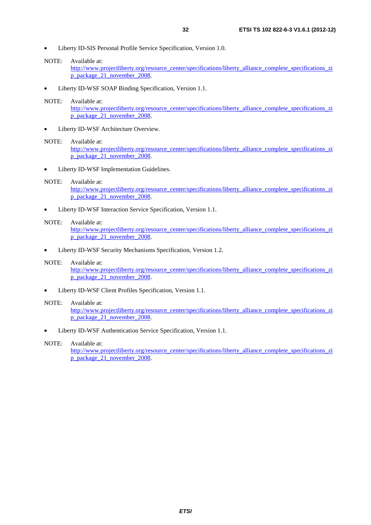- Liberty ID-SIS Personal Profile Service Specification, Version 1.0.
- NOTE: Available at:

[http://www.projectliberty.org/resource\\_center/specifications/liberty\\_alliance\\_complete\\_specifications\\_zi](http://www.projectliberty.org/resource_center/specifications/liberty_alliance_complete_specifications_zip_package_21_november_2008) [p\\_package\\_21\\_november\\_2008.](http://www.projectliberty.org/resource_center/specifications/liberty_alliance_complete_specifications_zip_package_21_november_2008) 

• Liberty ID-WSF SOAP Binding Specification, Version 1.1.

#### NOTE: Available at:

[http://www.projectliberty.org/resource\\_center/specifications/liberty\\_alliance\\_complete\\_specifications\\_zi](http://www.projectliberty.org/resource_center/specifications/liberty_alliance_complete_specifications_zip_package_21_november_2008) [p\\_package\\_21\\_november\\_2008.](http://www.projectliberty.org/resource_center/specifications/liberty_alliance_complete_specifications_zip_package_21_november_2008) 

Liberty ID-WSF Architecture Overview.

#### NOTE: Available at:

[http://www.projectliberty.org/resource\\_center/specifications/liberty\\_alliance\\_complete\\_specifications\\_zi](http://www.projectliberty.org/resource_center/specifications/liberty_alliance_complete_specifications_zip_package_21_november_2008) [p\\_package\\_21\\_november\\_2008.](http://www.projectliberty.org/resource_center/specifications/liberty_alliance_complete_specifications_zip_package_21_november_2008) 

Liberty ID-WSF Implementation Guidelines.

#### NOTE: Available at:

[http://www.projectliberty.org/resource\\_center/specifications/liberty\\_alliance\\_complete\\_specifications\\_zi](http://www.projectliberty.org/resource_center/specifications/liberty_alliance_complete_specifications_zip_package_21_november_2008) p\_package\_21\_november\_2008.

• Liberty ID-WSF Interaction Service Specification, Version 1.1.

#### NOTE: Available at:

[http://www.projectliberty.org/resource\\_center/specifications/liberty\\_alliance\\_complete\\_specifications\\_zi](http://www.projectliberty.org/resource_center/specifications/liberty_alliance_complete_specifications_zip_package_21_november_2008) p\_package\_21\_november\_2008.

• Liberty ID-WSF Security Mechanisms Specification, Version 1.2.

#### NOTE: Available at:

[http://www.projectliberty.org/resource\\_center/specifications/liberty\\_alliance\\_complete\\_specifications\\_zi](http://www.projectliberty.org/resource_center/specifications/liberty_alliance_complete_specifications_zip_package_21_november_2008) [p\\_package\\_21\\_november\\_2008.](http://www.projectliberty.org/resource_center/specifications/liberty_alliance_complete_specifications_zip_package_21_november_2008) 

• Liberty ID-WSF Client Profiles Specification, Version 1.1.

#### NOTE: Available at:

[http://www.projectliberty.org/resource\\_center/specifications/liberty\\_alliance\\_complete\\_specifications\\_zi](http://www.projectliberty.org/resource_center/specifications/liberty_alliance_complete_specifications_zip_package_21_november_2008) p\_package<sup>21\_</sup>november\_2008.

• Liberty ID-WSF Authentication Service Specification, Version 1.1.

#### NOTE: Available at:

[http://www.projectliberty.org/resource\\_center/specifications/liberty\\_alliance\\_complete\\_specifications\\_zi](http://www.projectliberty.org/resource_center/specifications/liberty_alliance_complete_specifications_zip_package_21_november_2008) [p\\_package\\_21\\_november\\_2008.](http://www.projectliberty.org/resource_center/specifications/liberty_alliance_complete_specifications_zip_package_21_november_2008)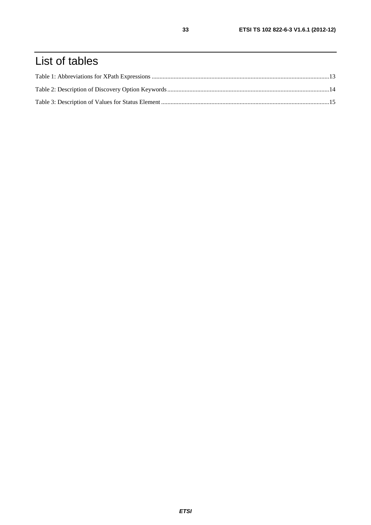# List of tables